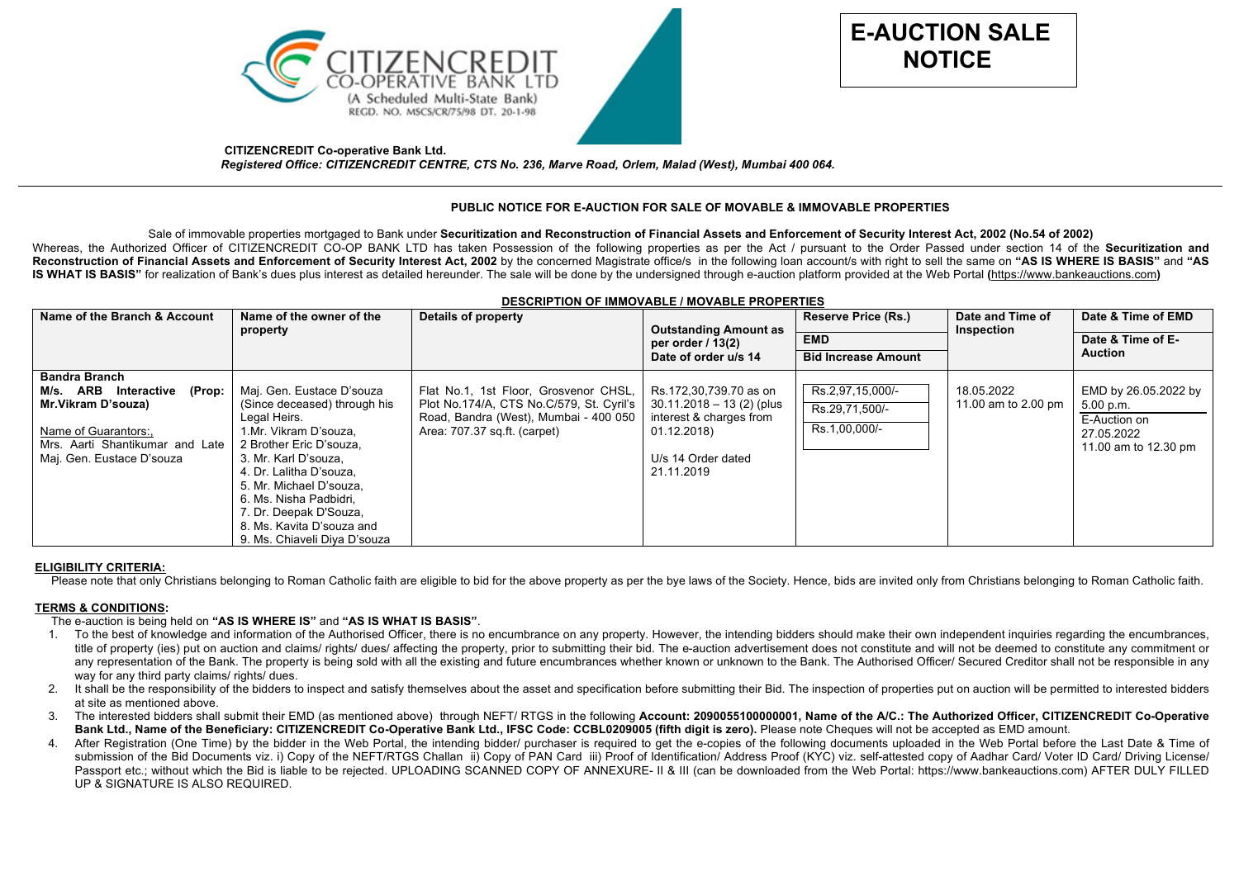



 **CITIZENCREDIT Co-operative Bank Ltd.**  *Registered Office: CITIZENCREDIT CENTRE, CTS No. 236, Marve Road, Orlem, Malad (West), Mumbai 400 064.*

# **PUBLIC NOTICE FOR E-AUCTION FOR SALE OF MOVABLE & IMMOVABLE PROPERTIES**

Sale of immovable properties mortgaged to Bank under **Securitization and Reconstruction of Financial Assets and Enforcement of Security Interest Act, 2002 (No.54 of 2002)** Whereas, the Authorized Officer of CITIZENCREDIT CO-OP BANK LTD has taken Possession of the following properties as per the Act / pursuant to the Order Passed under section 14 of the Securitization and Reconstruction of Financial Assets and Enforcement of Security Interest Act, 2002 by the concerned Magistrate office/s in the following loan account/s with right to sell the same on "AS IS WHERE IS BASIS" and "AS IS WHAT IS BASIS" for realization of Bank's dues plus interest as detailed hereunder. The sale will be done by the undersigned through e-auction platform provided at the Web Portal (https://www.bankeauctions.com)

| <b>DESCRIPTION OF IMMOVABLE / MOVABLE FROFERTIES</b> |                              |                                          |                                                                             |                            |                                |                      |
|------------------------------------------------------|------------------------------|------------------------------------------|-----------------------------------------------------------------------------|----------------------------|--------------------------------|----------------------|
| Name of the Branch & Account                         | Name of the owner of the     | Details of property                      | <b>Outstanding Amount as</b><br>per order $/ 13(2)$<br>Date of order u/s 14 | <b>Reserve Price (Rs.)</b> | Date and Time of<br>Inspection | Date & Time of EMD   |
|                                                      | property                     |                                          |                                                                             |                            |                                |                      |
|                                                      |                              |                                          |                                                                             | <b>EMD</b>                 |                                | Date & Time of E-    |
|                                                      |                              |                                          |                                                                             | <b>Bid Increase Amount</b> |                                | <b>Auction</b>       |
| <b>Bandra Branch</b>                                 |                              |                                          |                                                                             |                            |                                |                      |
| M/s. ARB<br>Interactive (Prop:                       | Maj. Gen. Eustace D'souza    | Flat No.1, 1st Floor, Grosvenor CHSL,    | Rs.172,30,739.70 as on                                                      | Rs.2,97,15,000/-           | 18.05.2022                     | EMD by 26.05.2022 by |
| <b>Mr.Vikram D'souza)</b>                            | (Since deceased) through his | Plot No.174/A, CTS No.C/579, St. Cyril's | $30.11.2018 - 13(2)$ (plus                                                  | Rs.29.71.500/-             | 11.00 am to 2.00 pm            | 5.00 p.m.            |
|                                                      | Legal Heirs.                 | Road, Bandra (West), Mumbai - 400 050    | interest & charges from                                                     |                            |                                | E-Auction on         |
| Name of Guarantors:,                                 | 1.Mr. Vikram D'souza,        | Area: 707.37 sq.ft. (carpet)             | 01.12.2018)                                                                 | Rs.1,00,000/-              |                                | 27.05.2022           |
| Mrs. Aarti Shantikumar and Late                      | 2 Brother Eric D'souza,      |                                          |                                                                             |                            |                                | 11.00 am to 12.30 pm |
| Maj. Gen. Eustace D'souza                            | 3. Mr. Karl D'souza,         |                                          | U/s 14 Order dated                                                          |                            |                                |                      |
|                                                      | 4. Dr. Lalitha D'souza,      |                                          | 21.11.2019                                                                  |                            |                                |                      |
|                                                      | 5. Mr. Michael D'souza,      |                                          |                                                                             |                            |                                |                      |
|                                                      | 6. Ms. Nisha Padbidri,       |                                          |                                                                             |                            |                                |                      |
|                                                      | 7. Dr. Deepak D'Souza,       |                                          |                                                                             |                            |                                |                      |
|                                                      | 8. Ms. Kavita D'souza and    |                                          |                                                                             |                            |                                |                      |
|                                                      | 9. Ms. Chiaveli Diya D'souza |                                          |                                                                             |                            |                                |                      |

# **DESCRIPTION OF IMMOVABLE / MOVABLE PROPERTIES**

### **ELIGIBILITY CRITERIA:**

Please note that only Christians belonging to Roman Catholic faith are eligible to bid for the above property as per the bye laws of the Society. Hence, bids are invited only from Christians belonging to Roman Catholic fai

### **TERMS & CONDITIONS:**

### The e-auction is being held on **"AS IS WHERE IS"** and **"AS IS WHAT IS BASIS"**.

- 1. To the best of knowledge and information of the Authorised Officer, there is no encumbrance on any property. However, the intending bidders should make their own independent inquiries regarding the encumbrances, title of property (ies) put on auction and claims/ rights/ dues/ affecting the property, prior to submitting their bid. The e-auction advertisement does not constitute and will not be deemed to constitute any commitment or any representation of the Bank. The property is being sold with all the existing and future encumbrances whether known or unknown to the Bank. The Authorised Officer/ Secured Creditor shall not be responsible in any way for any third party claims/ rights/ dues.
- 2. It shall be the responsibility of the bidders to inspect and satisfy themselves about the asset and specification before submitting their Bid. The inspection of properties put on auction will be permitted to interested at site as mentioned above.
- 3. The interested bidders shall submit their EMD (as mentioned above) through NEFT/ RTGS in the following **Account: 2090055100000001, Name of the A/C.: The Authorized Officer, CITIZENCREDIT Co-Operative**  Bank Ltd., Name of the Beneficiary: CITIZENCREDIT Co-Operative Bank Ltd., IFSC Code: CCBL0209005 (fifth digit is zero). Please note Cheques will not be accepted as EMD amount.
- 4. After Registration (One Time) by the bidder in the Web Portal, the intending bidder/ purchaser is required to get the e-copies of the following documents uploaded in the Web Portal before the Last Date & Time of submission of the Bid Documents viz. i) Copy of the NEFT/RTGS Challan ii) Copy of PAN Card iii) Proof of Identification/ Address Proof (KYC) viz. self-attested copy of Aadhar Card/ Voter ID Card/ Driving License/ Passport etc.; without which the Bid is liable to be rejected. UPLOADING SCANNED COPY OF ANNEXURE- II & III (can be downloaded from the Web Portal: https://www.bankeauctions.com) AFTER DULY FILLED UP & SIGNATURE IS ALSO REQUIRED.